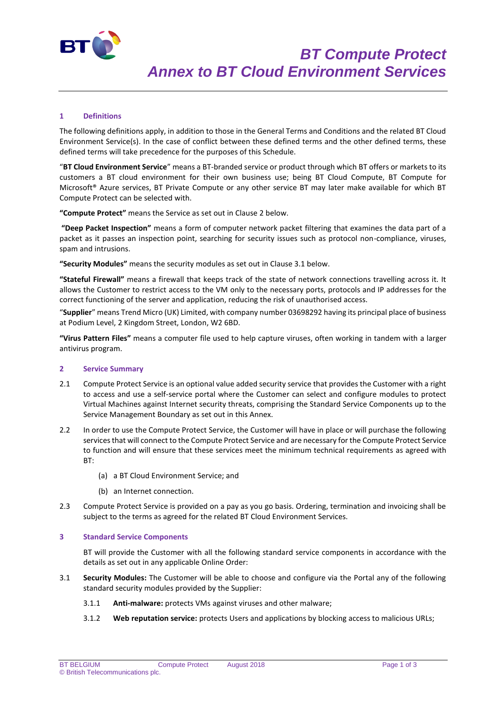

# **1 Definitions**

The following definitions apply, in addition to those in the General Terms and Conditions and the related BT Cloud Environment Service(s). In the case of conflict between these defined terms and the other defined terms, these defined terms will take precedence for the purposes of this Schedule.

"**BT Cloud Environment Service**" means a BT-branded service or product through which BT offers or markets to its customers a BT cloud environment for their own business use; being BT Cloud Compute, BT Compute for Microsoft® Azure services, BT Private Compute or any other service BT may later make available for which BT Compute Protect can be selected with.

**"Compute Protect"** means the Service as set out in Clause 2 below.

**"Deep Packet Inspection"** means a form of computer network packet filtering that examines the data part of a packet as it passes an inspection point, searching for security issues such as protocol non-compliance, viruses, spam and intrusions.

**"Security Modules"** means the security modules as set out in Clause 3.1 below.

**"Stateful Firewall"** means a firewall that keeps track of the state of network connections travelling across it. It allows the Customer to restrict access to the VM only to the necessary ports, protocols and IP addresses for the correct functioning of the server and application, reducing the risk of unauthorised access.

"**Supplier**" means Trend Micro (UK) Limited, with company number 03698292 having its principal place of business at Podium Level, 2 Kingdom Street, London, W2 6BD.

**"Virus Pattern Files"** means a computer file used to help capture viruses, often working in tandem with a larger antivirus program.

#### **2 Service Summary**

- 2.1 Compute Protect Service is an optional value added security service that provides the Customer with a right to access and use a self-service portal where the Customer can select and configure modules to protect Virtual Machines against Internet security threats, comprising the Standard Service Components up to the Service Management Boundary as set out in this Annex.
- 2.2 In order to use the Compute Protect Service, the Customer will have in place or will purchase the following services that will connect to the Compute Protect Service and are necessary for the Compute Protect Service to function and will ensure that these services meet the minimum technical requirements as agreed with BT:
	- (a) a BT Cloud Environment Service; and
	- (b) an Internet connection.
- 2.3 Compute Protect Service is provided on a pay as you go basis. Ordering, termination and invoicing shall be subject to the terms as agreed for the related BT Cloud Environment Services.

### **3 Standard Service Components**

BT will provide the Customer with all the following standard service components in accordance with the details as set out in any applicable Online Order:

- 3.1 **Security Modules:** The Customer will be able to choose and configure via the Portal any of the following standard security modules provided by the Supplier:
	- 3.1.1 **Anti-malware:** protects VMs against viruses and other malware;
	- 3.1.2 **Web reputation service:** protects Users and applications by blocking access to malicious URLs;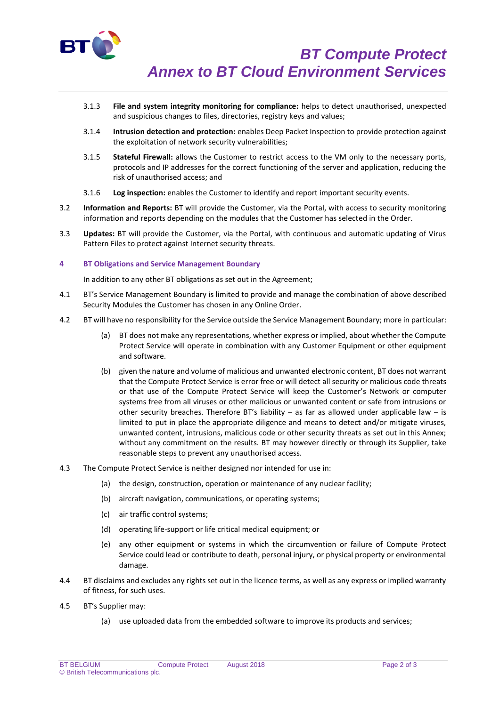

- 3.1.3 **File and system integrity monitoring for compliance:** helps to detect unauthorised, unexpected and suspicious changes to files, directories, registry keys and values;
- 3.1.4 **Intrusion detection and protection:** enables Deep Packet Inspection to provide protection against the exploitation of network security vulnerabilities;
- 3.1.5 **Stateful Firewall:** allows the Customer to restrict access to the VM only to the necessary ports, protocols and IP addresses for the correct functioning of the server and application, reducing the risk of unauthorised access; and
- 3.1.6 **Log inspection:** enables the Customer to identify and report important security events.
- 3.2 **Information and Reports:** BT will provide the Customer, via the Portal, with access to security monitoring information and reports depending on the modules that the Customer has selected in the Order.
- 3.3 **Updates:** BT will provide the Customer, via the Portal, with continuous and automatic updating of Virus Pattern Files to protect against Internet security threats.

## **4 BT Obligations and Service Management Boundary**

In addition to any other BT obligations as set out in the Agreement;

- 4.1 BT's Service Management Boundary is limited to provide and manage the combination of above described Security Modules the Customer has chosen in any Online Order.
- 4.2 BT will have no responsibility for the Service outside the Service Management Boundary; more in particular:
	- (a) BT does not make any representations, whether express or implied, about whether the Compute Protect Service will operate in combination with any Customer Equipment or other equipment and software.
	- (b) given the nature and volume of malicious and unwanted electronic content, BT does not warrant that the Compute Protect Service is error free or will detect all security or malicious code threats or that use of the Compute Protect Service will keep the Customer's Network or computer systems free from all viruses or other malicious or unwanted content or safe from intrusions or other security breaches. Therefore BT's liability – as far as allowed under applicable law – is limited to put in place the appropriate diligence and means to detect and/or mitigate viruses, unwanted content, intrusions, malicious code or other security threats as set out in this Annex; without any commitment on the results. BT may however directly or through its Supplier, take reasonable steps to prevent any unauthorised access.
- 4.3 The Compute Protect Service is neither designed nor intended for use in:
	- (a) the design, construction, operation or maintenance of any nuclear facility;
	- (b) aircraft navigation, communications, or operating systems;
	- (c) air traffic control systems;
	- (d) operating life-support or life critical medical equipment; or
	- (e) any other equipment or systems in which the circumvention or failure of Compute Protect Service could lead or contribute to death, personal injury, or physical property or environmental damage.
- 4.4 BT disclaims and excludes any rights set out in the licence terms, as well as any express or implied warranty of fitness, for such uses.
- 4.5 BT's Supplier may:
	- (a) use uploaded data from the embedded software to improve its products and services;